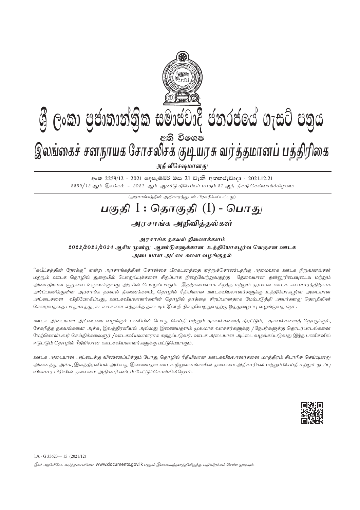

# ශී ලංකා පුජාතාන්තික සමාජවාදී ජනරජයේ ගැසට් පතුය

ு அடுக்கு கைக்<br>இலங்கைச் சனநாயக சோசலிசக் குடியரசு வர்த்தமானப் பத்திரிகை

அதி விசேஷமானது

eංක 2259/12 - 2021 ලෙසැම්බර් මස 21 වැනි අඟහරුවාදා - 2021.12.21  $2259/12$  ஆம் இலக்கம் -  $2021$  ஆம் ஆண்டு திசெம்பர் மாதம்  $21$  ஆந் திகதி செவ்வாய்க்கிழமை

(அரசாங்கத்தின் அதிகாரத்துடன் பிரசுரிக்கப்பட்டது)

# பகுதி  $\mathrm{I}$  : தொகுதி  $\mathrm{(I)}$  - பொது

அரசாங்க அறிவித்தல்கள்

அரசாங்க தகவல் திணைக்களம் 2022/2023/2024 ஆகிய முன்று ஆண்டுகளுக்கான உத்தியோகபூர்வ வெகுசன ஊடக

அடையாள அட்டைகளை வழங்குதல்

''சுபீட்சத்தின் நோக்கு'' என்ற அரசாங்கத்தின் கொள்கை பிரகடனத்தை ஏற்றுக்கொண்டதற்கு அமைவாக ஊடக நிறுவனங்கள் மற்றும் ஊடக தொழில் துறையில் பொறுப்புக்களை சிறப்பாக நிறைவேற்றுவதற்கு கேவையான தன்னுரிமையுடைய மற்றும் அமைதியான சூழலை உருவாக்குவது அரசின் பொறுப்பாகும். இதற்கமைவாக சிறந்த மற்றும் தரமான ஊடக கலாசாரத்திற்காக அர்ப்பணித்துள்ள அரசாங்க தகவல் திணைக்களம், தொழில் ரீதியிலான ஊடகவியலாளர்களுக்கு உத்தியோகபுர்வ அடையாள அட்டைகளை விநியோகிப்பது, ஊடகவியலாளர்களின் தொழில் தரத்தை சிறப்பானதாக மேம்படுத்தி அவர்களது தொழிலின் கௌரவத்தை பாதுகாத்து, கடமைகளை எந்தவித தடையும் இன்றி நிறைவேற்றுவதற்கு ஒத்துழைப்பு வழங்குவதாகும்.

ஊடக அடையாள அட்டையை வழங்கும் பணியின் போது செய்தி மற்றும் தகவல்களைத் திரட்டும், தகவல்களைத் தொகுக்கும், சேகரித்த தகவல்களை அச்சு, இலத்திரனியல் அல்லது இணையதளம் மூலமாக வாசகர்களுக்கு /நேயர்களுக்கு கொடர்பாடல்களை மேற்கொள்பவர் செய்திக்கலைஞர் /ஊடகவியலாளராக கருதப்படுவர். ஊடக அடையாள அட்டை வழங்கப்படுவது இந்த பணிகளில் ஈடுபடும் தொழில் ரீதியிலான ஊடகவியலாளர்களுக்கு மட்டுமேயாகும்.

ஊடக அடையாள அட்டைக்கு விண்ணப்பிக்கும் போகு கொமில் ரீகியிலான ஊடகவியலாளர்களை மாக்கிரம் சிபாரிசு செய்யமாற அனைத்து அச்சு, இலத்திரனியல் அல்லது இணையதள ஊடக நிறுவனங்களின் தலைமை அதிகாரிகள் மற்றும் செய்தி மற்றும் நடப்பு விவகார பிரிவின் தலைமை அதிகாரிகளிடம் கேட்டுக்கொள்கின்றோம்.



 $1A - G$  35623 - 15 (2021/12)

இவ் அதிவிசேட வர்த்தமானியை www.documents.qov.lk எனும் இணையத்தளத்திலிருந்து பதிவிறக்கம் செய்ய முடியும்.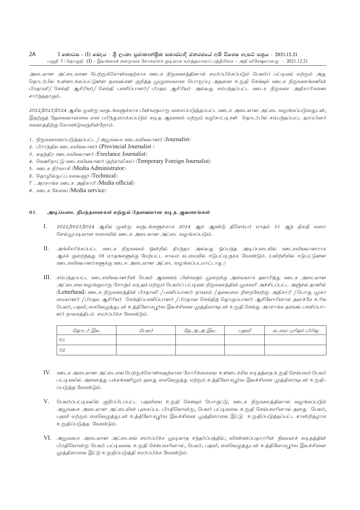#### $2A$  $I$  කොටස : (I) ඡෙදය - ශීු ලංකා පුජාතාන්තික සමාජවාදී ජනරජයේ අති විශෙෂ ගැසට් පනුය - 2021.12.21 பகுதி 1: தொகுதி (I) - இலங்கைச் சனநாயக சோசலிசக் குடியரசு வர்த்தமானப் பத்திரிகை - அதி விசேஷமானது - 2021.12.21

அடையாள அட்டைகளை பெற்றுக்கொள்வதற்காக ஊடக நிறுவனத்தினால் சமர்ப்பிக்கப்படும் பெயர்ப் பட்டியல் மற்றும் அது தொடர்பில் உள்ளடக்கப்பட்டுள்ள தகவல்கள் குறித்த முழுமையான பொறுப்பு அதனை உறுதி செய்யும் ஊடக நிறுவனங்களின் பிரதானி/ செய்தி ஆசிரியர்/ செய்தி பணிப்பாளர்/ பிரதம ஆசிரியர் அல்லது சம்பந்தப்பட்ட ஊடக நிறுவன அதிகாரிகளை சார்ந்ததாகும்.

2022/2023/2024 ஆகிய மூன்று வருடங்களுக்காக பின்வருமாறு வகைப்படுக்கப்பட்ட ஊடக அடையாள அட்டை வமங்கப்படுவதுடன், இதற்குத் தேவையானவை என பரிந்துரைக்கப்படும் கடித ஆவணம் மற்றும் வழிகாட்டிகள் தொடர்பில் சம்பந்தப்பட்ட தரப்பினர் கவனத்திற்கு கொண்டுவருகின்றோம்.

- 1. நிறுவனமயப்படுத்தப்பட்ட /அலுவலக ஊடகவியலாளர் (Journalist)
- 2. பிராந்திய ஊடகவியலாளர் (Provincial Journalist)
- 3. சுதந்திர ஊடகவியலாளர் (Freelance Journalist)
- 4. வெளிநாட்டு ஊடகவியலாளர் (தற்காலிகம்) (Temporary Foreign Journalist)
- 5. ஊடக நிர்வாகி (Media Administrator)
- 6. தொழில்நுட்ப கலைஞர் (Technical)
- 7. அரசாங்க ஊடக அகிகாரி (Media official)
- 8. ஊடக சேவை (Media service)

#### 01. அடிப்படை நிபந்தனைகள் மற்றும் தேவையான கடித ஆவணங்கள்

- $\mathbf{I}$ 2022/2023/2024 ஆகிய மூன்று வருடங்களுக்காக 2024 ஆம் ஆண்டு திசெம்பர் மாதம் 31 ஆந் திகதி வரை செல்லுபடியான வகையில் ஊடக அடையாள அட்டை வழங்கப்படும்.
- II. அங்கீகரிக்கப்பட்ட ஊடக நிறுவனம் ஒன்றில் நிரந்தர அல்லது ஒப்பந்த அடிப்படையில் ஊடகவியலாளராக ஆகக் குறைந்தது 06 மாதங்களுக்கு மேற்பட்ட காலம் கடமையில் ஈடுபட்டிருக்க வேண்டும். (பயிற்சியில் ஈடுபட்டுள்ள ஊடகவியலாளர்களுக்கு ஊடக அடையாள அட்டை வழங்கப்படமாட்டாது.)
- III. சம்பந்தப்பட்ட ஊடகவியலாளரின் பெயர் ஆவணம் பின்வரும் முறைக்கு அமைவாக தயாரித்து ஊடக அடையாள அட்டையை வழங்குமாறு கோரும் கடிதம் மற்றும் பெயர்ப் பட்டியல் நிறுவனத்தின் முகவரி அச்சிடப்பட்ட அஞ்சல் தாளில் (Letterhead) ஊடக நிறுவனத்தின் பிரதானி /பணிப்பாளர் நாயகம் /தலைமை நிறைவேற்று அதிகாரி /பொது முகா மையாளர் /பிரதம ஆசிரியர் செய்திப்பணிப்பாளர் /பிரதான செய்தித் தொகுப்பாளர் ஆகியோரினால் தனக்கே உரிய பெயர், பதவி, கையெழுத்துடன் உத்தியோகபூர்வ இலச்சினை முத்திரையுடன் உறுதி செய்து அரசாங்க தகவல் பணிப்பா– ளர் நாயகத்திடம் சமர்ப்பிக்க வேண்டும்.

| தொடர் இல. | QLIUIT | <u>தே.அ.அ இல.</u> | பகவி | கடமை புரியும் பிரிவு |
|-----------|--------|-------------------|------|----------------------|
|           |        |                   |      |                      |
| 02        |        |                   |      |                      |

- IV. உளடக அடையாள அட்டையை பெற்றுக்கொள்வதற்கான கோரிக்கையை உள்ளடக்கிய கடிதத்தை உறுதி செய்பவர் பெயர் பட்டியலில் அனைத்து பக்கங்களிலும் தனது கையெழுத்து மற்றும் உத்தியோகபூர்வ இலச்சினை முத்திரையுடன் உறுதி-ப்படுத்த வேண்டும்.
- $V$ . பெயர்ப்பட்டியலில் குறிப்பிடப்பட்ட பதவியை உறுதி செய்யும் பொருட்டு, ஊடக நிறுவனத்தினால் வழங்கப்படும் அலுவலக அடையாள அட்டையின் புகைப்பட பிரதியொன்று, பெயர் பட்டியலை உறுதி செய்பவரினால் தனது பெயர், பதவி மற்றும் கையெழுத்துடன் உத்தியோகபூர்வ இலச்சினை முத்திரையை இட்டு உறுதிப்படுத்தப்பட்ட சான்றிதழாக உறுதிப்படுத்த வேண்டும்.
- VI. அலுவலக அடையாள அட்டையை சமர்ப்பிக்க முடியாத சந்தர்ப்பத்தில், விண்ணப்பதாரரின் நியமனக் கடிதத்தின் பிரதியொன்று பெயர் பட்டியலை உறுதி செய்பவரினால், பெயர், பதவி, கையெழுத்துடன் உத்தியோகபூர்வ இலச்சினை முத்திரையை இட்டு உறுதிப்படுத்தி சமர்ப்பிக்க வேண்டும்.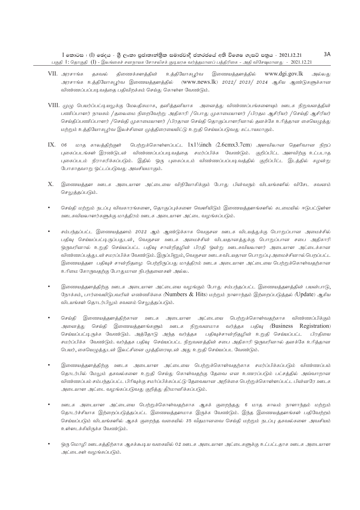- VII. அரசாங்க தகவல் திணைக்களத்தின் உத்தியோகபூர்வ இணையத்தளத்தில் www.dgi.gov.lk அல்லது அரசாங்க உத்தியோகபூர்வ இணையத்தளத்தில் (www.news.lk) 2022/ 2023/ 2024 ஆகிய ஆண்டுகளுக்கான விண்ணப்பப்படிவத்தை பதிவிறக்கம் செய்து கொள்ள வேண்டும்.
- VIII. முமு பெயர்ப்பட்டியலுக்கு மேலகிகமாக, தனித்தனியாக அனைத்து விண்ணப்பங்களையும் ஊடக நிறுவனத்தின் பணிப்பாளர் நாயகம் /தலைமை நிறைவேற்று அதிகாரி /பொது முகாமையாளர் /பிரதம ஆசிரியர் /செய்தி ஆசிரியர் செய்திப்பணிப்பாளர் /செய்தி முகாமையாளர் /பிரதான செய்தி தொகுப்பாளரினால் தனக்கே உரித்தான கையெழுத்து மற்றும் உத்தியோகபுர்வ இலச்சினை முத்திரையையிட்டு உறுதி செய்யப்படுவது கட்டாயமாகும்.
- IX. 06 மாத காலத்திற்குள் பெற்றுக்கொள்ளப்பட்ட  $1x1\frac{1}{2}$ inch (2.6cmx3.7cm) அளவிலான தெளிவான நிறப் புகைப்படங்கள் இரண்டுடன் விண்ணப்பப்படிவத்தை சமர்ப்பிக்க வேண்டும். குறிப்பிட்ட அளவிற்கு உட்படாத புகைப்படம் நிராகரிக்கப்படும். இதில் ஒரு புகைப்படம் விண்ணப்பப்படிவத்தில் குறிப்பிட்ட இடத்தில் கழன்று போகாதவாறு ஒட்டப்படுவது அவசியமாகும்.
- $X$ . இணையத்தள ஊடக அடையாள அட்டையை விநியோகிக்கும் போது பின்வரும் விடயங்களில் விசேட கவனம் செலுத்தப்படும்.
- செய்தி மற்றும் நடப்பு விவகாரங்களை, தொகுப்புக்களை வெளியிடும் இணையத்தளங்களில் கடமையில் ஈடுபட்டுள்ள ஊடகவியலாளர்களுக்கு மாத்திரம் ஊடக அடையாள அட்டை வழங்கப்படும்.
- சம்பந்தப்பட்ட இணையத்தளம் 2022 ஆம் ஆண்டுக்காக வெகுசன ஊடக விடயத்துக்கு பொறுப்பான அமைச்சில் பதிவு செய்யப்பட்டிருப்பதுடன், வெகுசன ஊடக அமைச்சின் விடயதானத்துக்கு பொறுப்பான சபை அதிகாரி ஒருவரினால் உறுதி செய்யப்பட்ட பதிவு சான்றிதழின் பிரதி ஒன்று ஊடகவியலாளர் அடையாள அட்டைக்கான விண்ணப்பத்துடன் சமரப்பிக்க வேண்டும். இருப்பினும், வெகுசன ஊடகவிடயதான பொறுப்பு அமைச்சினால் பெறப்பட்ட இணையத்தள பதிவுச் சான்றிதழை பெற்றிருப்பது மாத்திரம் ஊடக அடையாள அட்டையை பெற்றுக்கொள்வதற்கான உரிமை கோருவதற்கு போதுமான நிபந்தனைகள் அல்ல.
- இணையத்தளத்திற்கு ஊடக அடையாள அட்டையை வழங்கும் போது சம்பந்தப்பட்ட இணையத்தளத்தின் பயன்பாடு, நேரக்கம், பார்வையிடுபவரின் எண்ணிக்கை (Numbers  $\&$  Hits) மற்றும் நாளாந்தம் இற்றைப்படுக்கல் (Update) ஆகிய விடயங்கள் தொடர்பிலும் கவனம் செலுக்கப்படும்.
- செய்தி இணையத்தளத்திற்கான ஊடக அடையாள அட்டையை பெற்றுக்கொள்வதற்காக விண்ணப்பிக்கும் அனைத்து செய்தி இணையத்தளங்களும் ஊடக நிறுவனமாக வர்த்தக பதிவு (Business Registration) செய்யப்பட்டிருக்க வேண்டும். அத்தோடு அந்த வர்த்தக பதிவுச்சான்றிதழின் உறுதி செய்யப்பட்ட பிரதியை சமர்ப்பிக்க வேண்டும். வர்த்தக பதிவு செய்யப்பட்ட நிறுவனத்தின் சபை அதிகாரி ஒருவரினால் தனக்கே உரித்தான பெயர், கையெழுத்துடன் இலட்சினை முத்திரையுடன் அது உறுதி செய்யப்பட வேண்டும்.
- இணையத்தளத்திற்கு ஊடக அடையாள அட்டையை பெற்றுக்கொள்வதற்காக சமர்ப்பிக்கப்படும் விண்ணப்பம் தொடர்பில் மேலும் தகவல்களை உறுதி செய்து கொள்வதற்கு தேவை என உணரப்படும் பட்சத்தில் அவ்வாறான விண்ணப்பம் சம்பந்தப்பட்ட பிரிவுக்கு சமர்ப்பிக்கப்பட்டு தேவையான அறிக்கை பெற்றுக்கொள்ளப்பட்ட பின்னரே ஊடக அடையாள அட்டை வழங்கப்படுவது குறித்து தீர்மானிக்கப்படும்.
- ஊடக அடையாள அட்டையை பெற்றுக்கொள்வதற்காக ஆகக் குறைந்தது 6 மாத காலம் நாளாந்தம் மற்றும் தொடர்ச்சியாக இற்றைப்படுத்தப்பட்ட இணையத்தளமாக இருக்க வேண்டும். இந்த இணையத்தளங்கள் பதிவேற்றம் செய்யப்படும் விடயங்களில் ஆகக் குறைந்த வகையில் 35 வீதமானவை செய்தி மற்றும் நடப்பு தகவல்களை அவசியம் உள்ளடக்கியிருக்க வேண்டும்.
- ஒரு மொழி ஊடகத்திற்காக ஆகக்கூடிய வகையில் 02 ஊடக அடையாள அட்டைகளுக்கு உட்பட்டதாக ஊடக அடையாள அட்டைகள் வழங்கப்படும்.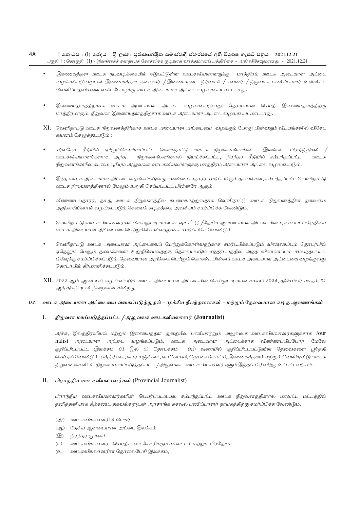#### $4A$  $I$  කොටස : (I) ඡෙදය - ශීු ලංකා පුජාතාන්තික සමාජවාදී ජනරජයේ අති විශෙෂ ගැසට් පනුය - 2021.12.21 பகுதி 1: தொகுதி (I) - இலங்கைச் சனநாயக சோசலிசக் குடியரசு வர்த்தமானப் பத்திரிகை - அதி விசேஷமானது - 2021.12.21

- இணையத்தள ஊடக நடவடிக்கையில் ஈடுபட்டுள்ள ஊடகவியலாளருக்கு மாத்திரம் ஊடக அடையாள அட்டை வழங்கப்படுவதுடன் இணையத்தள தலைவர் / இணையதள நிர்வாகி / கவனர் / நிருவாக பணிப்பாளர் உள்ளிட்ட வெளிப்பதவிகளை வகிப்போருக்கு ஊடக அடையாள அட்டை வழங்கப்படமாட்டாது.
- இணையதளத்திற்காக ஊடக அடையாள அட்டை வழங்கப்படுவது, நேரடியான செய்தி இணையதளத்திற்கு மாத்திரமாகும். நிறுவன இணையதளத்திற்காக ஊடக அடையாள அட்டை வழங்கப்படமாட்டாது.
- XI. வெளிநாட்டு ஊடக நிறுவனத்திற்காக ஊடக அடையாள அட்டையை வழங்கும் போது பின்வரும் விடயங்களில் விசேட கவனம் செலுத்தப்படும் :
- சர்வதேச ரீதியில் ஏற்றுக்கொள்ளப்பட்ட வெளிநாட்டு ஊடக நிறுவனங்களின் இலங்கை பிரதிநிதிகள் நிறுவனங்களினால் நியமிக்கப்பட்ட, நிரந்தர ரீதியில் சம்பந்தப்பட்ட ஊடகவியலாளர்களாக அந்த ஊடக நிறுவனங்களில் கடமை புரியும் அலுவலக ஊடகவியலாளருக்கு மாத்திரம் அடையாள அட்டை வழங்கப்படும்.
- இந்த ஊடக அடையாள அட்டை வழங்கப்படுவது விண்ணப்பதாரர் சமர்ப்பிக்கும் தகவல்கள், சம்பந்தப்பட்ட வெளிநாட்டு ஊடக நிறுவனத்தினால் மேலும் உறுதி செய்யப்பட்ட பின்னரே ஆகும்.
- விண்ணப்பதாரர், தமது ஊடக நிறுவனத்தில் கடமையாற்றுவதாக வெளிநாட்டு ஊடக நிறுவனத்தின் தலைமை அதிகாரியினால் வழங்கப்படும் சேவைக் கடிதத்தை அவசியம் சமர்ப்பிக்க வேண்டும்.
- வெளிநாட்டு ஊடகவியலாளர்கள் செல்லுபடியான கடவுச் சீட்டு /தேசிய ஆளடையாள அட்டையின் புகைப்படப்பிரதியை ஊடக அடையாள அட்டையை பெற்றுக்கொள்வதற்காக சமர்ப்பிக்க வேண்டும்.
- வெளிநாட்டு ஊடக அடையாள அட்டையைப் பெற்றுக்கொள்வதற்காக சமர்ப்பிக்கப்படும் விண்ணப்பம் தொடர்பில் ஏதேனும் மேலும் தகவல்களை உறுதிசெய்வதற்கு தேவைப்படும் சந்தர்ப்பத்தில் அந்த விண்ணப்பம் சம்பந்தப்பட்ட பிரிவுக்கு சமர்ப்பிக்கப்படும். கேவையான அறிக்கை பெற்றுக் கொண்ட பின்னர் ஊடக அடையாள அட்டையை வழங்குவது தொடர்பில் தீர்மானிக்கப்படும்.
- XII. 2022 ஆம் ஆண்டில் வழங்கப்படும் ஊடக அடையாள அட்டையின் செல்லுபடியான காலம் 2024, திசெம்பர் மாதம் 31 ஆந் திகதியுடன் நிறைவடைகின்றது.

#### 02. ஊடக அடையாள அட்டையை வகைப்படுத்துதல் - முக்கிய நிபந்தனைகள் - மற்றும் தேவையான கடித ஆவணங்கள்.

#### $\mathbf{I}$ நிறுவன மயப்படுத்தப்பட்ட /அலுவலக ஊடகவியலாளர் (Journalist)

அச்சு, இலத்திரனியல் மற்றும் இணையத்தள துறையில் பணியாற்றும் அலுவலக ஊடகவியலாளர்களுக்காக Jour nalist அடையாள அட்டை வழங்கப்படும். ஊடக அடையாள அட்டைக்காக விண்ணப்பிப்போர் மேலே குறிப்பிடப்பட்ட இலக்கம் 01 இல் (i) தொடக்கம் (xi) வரையில் குறிப்பிடப்பட்டுள்ள தேவைகளை புர்த்தி செய்தல் வேண்டும். பத்திரிகை, வார சஞ்சிகை, வானொலி, தொலைக்காட்சி, இணையத்தளம் மற்றும் வெளிநாட்டு ஊடக நிறுவனங்களின் நிறுவனமயப்படுத்தப்பட்ட /அலுவலக ஊடகவியலாளர்களும் இந்தப் பிரிவிற்கு உட்பட்டவர்கள்.

#### II. பிராந்திய ஊடகவியலாளர்கள் (Provincial Journalist)

பிராந்திய ஊடகவியலாளர்களின் பெயர்ப்பட்டியல் சம்பந்தப்பட்ட ஊடக நிறுவனக்தினால் மாவட்ட மட்டக்தில் தனித்தனியாக கீழ்கண்ட தகவல்களுடன் அரசாங்க தகவல் பணிப்பாளர் நாயகத்திற்கு சமர்ப்பிக்க வேண்டும்.

- (அ) ஊடகவியலாளரின் பெயர்
- (ஆ) தேசிய ஆளடையாள அட்டை இலக்கம்
- (இ) நிரந்தர முகவரி
- (ஈ) ஊடகவியலாளர் செய்திகளை சேகரிக்கும் மாவட்டம் மற்றும் பிரதேசம்
- (உ) ஊடகவியலாளரின் தொலைபேசி இலக்கம்,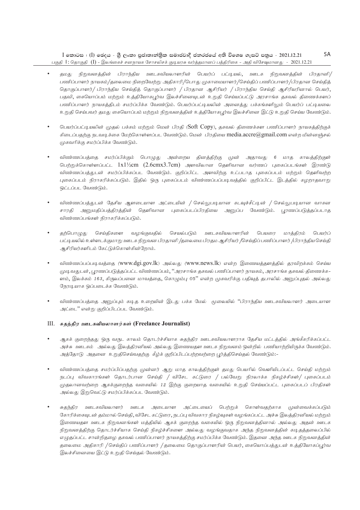$I$  කොටස : (I) ඡෙදය - ශූී ලංකා පුජාතාන්තිුක සමාජවාදී ජනරජයේ අති විශෙෂ ගැසට් පනුය - 2021.12.21 பகுதி  $\Gamma$ : தொகுதி  $\left(\Gamma\right)$  - இலங்கைச் சனநாயக சோசலிசக் குடியரசு வர்த்தமானப் பத்திரிகை - அதி விசேஷமானது - 2021.12.21 5A

- ்தமது நிறுவனத்தின் பிராந்திய ஊடகவியலாளரின் பெயர்ப் பட்டியல், ஊடக நிறுவனத்தின் பிரதானி/ பணிப்பாளர் நாயகம்/தலைமை நிறைவேற்று அதிகாரி/பொது முகாமையாளர்/செய்திப் பணிப்பாளர்/பிரதான செய்தித் தொகுப்பாளர்/ பிராந்திய செய்தித் தொகுப்பாளர் / பிரதான ஆசிரியர் / பிராந்திய செய்தி ஆசிரியரினால் பெயர், பதவி, கையொப்பம் மற்றும் உத்தியோகபூர்வ இலச்சினையுடன் உறுதி செய்யப்பட்டு அரசாங்க தகவல் திணைக்களப் பணிப்பாளர் நாயகத்திடம் சமர்ப்பிக்க வேண்டும். பெயர்ப்பட்டியலின் அனைத்து பக்கங்களிலும் பெயர்ப் பட்டியலை உறுதி செய்பவர் தமது கையொப்பம் மற்றும் நிறுவனத்தின் உத்தியோகபுர்வ இலச்சினை இட்டு உறுதி செய்ய வேண்டும்.
- பெயர்ப்பட்டியலின் முதல் பக்கம் மற்றும் மென் பிரதி (Soft Copy), தகவல் திணைக்கள பணிப்பாளர் நாயகத்திற்குக் கிடைப்பதற்கு நடவடிக்கை மேற்கொள்ளப்பட வேண்டும். மென் பிரதியை  $\text{median}$ .accre $(\partial \text{gmail.com})$  என்ற மின்னஞ்சல் முகவரிக்கு சமர்ப்பிக்க வேண்டும்.
- விண்ணப்பக்கை சமர்ப்பிக்கும் பொமுது அன்றைய கினக்கிற்கு முன் அதாவது 6 மாக காலக்கிற்குள் பெற்றுக்கொள்ளப்பட்ட  $1x1\frac{\mu}{2}$ cm ( $2.6\text{cm}x3.7\text{cm}$ ) அளவிலான கெளிவான வர்ணப் பகைப்படங்கள் இரண்டு விண்ணப்பத்துடன் சமர்ப்பிக்கப்பட வேண்டும். குறிப்பிட்ட அளவிற்கு உட்படாத புகைப்படம் மற்றும் தெளிவற்ற புகைப்படம் நிராகரிக்கப்படும். இதில் ஒரு புகைப்படம் விண்ணப்பப்படிவத்தில் குறிப்பிட்ட இடத்தில் கழறாதவாறு ஒட்டப்பட வேண்டும்.
- ்விண்ணப்பக்குடன் கேசிய ஆளடையாள அட்டையின் / செல்லுபடியான கடவுச்சீட்டின் / செல்லுபடியான வாகன சாரதி அனுமதிப்பத்திரத்தின் தெளிவான புகைப்படப்பிரதியை அனுப்ப வேண்டும். புரணப்படுத்தப்படாத விண்ணப்பங்கள் நிராகரிக்கப்படும்.
- தற்பொழுது செய்திகளை வழங்குவதில் செயல்படும் ஊடகவியலாளரின் பெயரை மாத்திரம் பெயர்ப் பட்டியலில் உள்ளடக்குமாறு ஊடக நிறுவன பிரதானி /தலைமை பிரதம ஆசிரியர் /செய்திப் பணிப்பாளர் /பிராந்திய செய்தி அசிரியர்களிடம் கேட்டுக்கொள்கின்றோம்.
- விண்ணப்பப்படிவத்தை (www.dgi.gov.lk) அல்லது (www.news.lk) என்ற இணையத்தளத்தில் தரவிறக்கம் செய்ய (முடிவதுடன், புரணப்படுத்தப்பட்ட விண்ணப்பம், ''அரசாங்க தகவல் பணிப்பாளர் நாயகம், அரசாங்க தகவல் திணைக்க– ளம், இலக்கம் 163, கிருலப்பனை மாவத்தை, கொழும்பு 05'' என்ற முகவரிக்கு பதிவுத் தபாலில் அனுப்புதல் அல்லது நேரடியாக ஒப்படைக்க வேண்டும்.
- ்விண்ணப்பத்தை அனுப்பும் கடித உறையின் இடது பக்க மேல் மூலையில் "பிராந்திய ஊடகவியலாளர் அடையாள அட்டை" என்று குறிப்பிடப்பட வேண்டும்.

# III. சுதந்திர ஊடகவியலாளர்கள் (Freelance Journalist)

- ஆகக் குறைந்தது ஒரு வருட காலம் தொடர்ச்சியாக சுதந்திர ஊடகவியலாளராக தேசிய மட்டத்தில் அங்கீகரிக்கப்பட்ட அச்சு ஊடகம் அல்லது இலத்திரனியல் அல்லது இணையதள ஊடக நிறுவனம் ஒன்றில் பணியாற்றியிருக்க வேண்டும். அத்தோடு அதனை உறுதிசெய்வதற்கு கீழ்க் குறிப்பிடப்பற்றவற்றை பூர்த்திசெய்தல் வேண்டும்:-
- விண்ணப்பத்தை சமர்ப்பிப்பதற்கு முன்னர் ஆறு மாத காலத்திற்குள் தமது பெயரில் வெளியிடப்பட்ட செய்தி மற்றும் .<br>நடப்பு விவகாரங்கள் தொடர்பான செய்தி / விசேட கட்டுரை / பல்வேறு நிரலாக்க நிகழ்ச்சிகள்/ புகைப்படம் முதலானவற்றை ஆகக்குறைந்த வகையில் 12 இற்கு குறையாத வகையில் உறுதி செய்யப்பட்ட புகைப்படப் பிரதிகள் அல்லது இறுவெட்டு சமர்ப்பிக்கப்பட வேண்டும்.
- சுதந்திர ஊடகவியலாளர் ஊடக அடையாள அட்டையைப் பெற்றுக் கொள்வதற்காக முன்வைக்கப்படும் கோரிக்கையுடன் தம்மால் செய்தி, விசேட கட்டுரை, நடப்பு விவகார நிகழ்வுகள் வழங்கப்பட்ட அச்சு இலத்திரனியல் மற்றும் இணையதள ஊடக நிறுவனங்கள் மத்தியில் ஆகக் குறைந்த வகையில் ஒரு நிறுவனத்தினால் அல்லது அதன் ஊடக நிறுவனத்திற்கு தொடர்ச்சியாக செய்தி நிகழ்ச்சிகளை அல்லது வழங்குவதாக அந்த நிறுவனத்தின் கடிதத்தலைப்பில் எழுதப்பட்ட சான்றிதழை தகவல் பணிப்பாளர் நாயகத்திற்கு சமர்ப்பிக்க வேண்டும். இதனை அந்த ஊடக நிறுவனத்தின் தலைமை அதிகாரி / செய்திப் பணிப்பாளர் / தலைமை தொகுப்பாளரின் பெயர், கையொப்பத்துடன் உத்தியோகப்புர்வ இலச்சினையை இட்டு உறுதி செய்தல் வேண்டும்.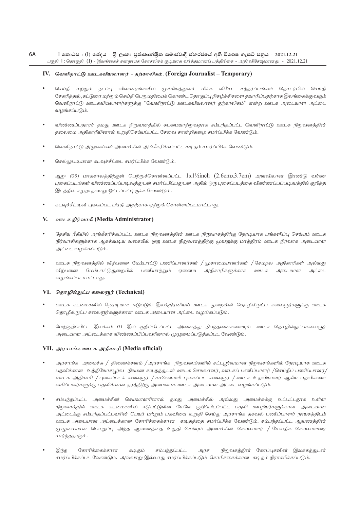#### 6A  $I$  කොටස : (I) ඡෙදය - ශීු ලංකා පුජාතාන්තික සමාජවාදී ජනරජයේ අති විශෙෂ ගැසට් පනුය - 2021.12.21 பகுதி 1: தொகுதி (I) - இலங்கைச் சனநாயக சோசலிசக் குடியரசு வர்த்தமானப் பத்திரிகை - அதி விசேஷ்மானது - 2021.12.21

#### IV. வெளிநாட்டு ஊடகவியலாளர் - தற்காலிகம். (Foreign Journalist – Temporary)

- செய்தி மற்றும் நடப்பு விவகாரங்களில் முக்கியத்துவம் மிக்க விசேட சந்தர்ப்பங்கள் தொடர்பில் செய்தி சேகரித்தல், கட்டுரை மற்றும் செய்தி பெறுமதியைக் கொண்ட தொகுப்பு நிகழ்ச்சிகளை தயாரிப்பதற்காக இலங்கைக்கு வரும் வெளிநாட்டு ஊடகவியலாளர்களுக்கு ''வெளிநாட்டு ஊடகவியலாளர் தற்காலிகம்'' என்ற ஊடக அடையாள அட்டை வமங்கப்படும்.
- விண்ணப்பதாரர் தமது ஊடக நிறுவனத்தில் கடமையாற்றுவதாக சம்பந்தப்பட்ட வெளிநாட்டு ஊடக நிறுவனத்தின் தலைமை அதிகாரியினால் உறுதிசெய்யப்பட்ட சேவை சான்றிதழை சமர்ப்பிக்க வேண்டும்.
- வெளிநாட்டு அலுவல்கள் அமைச்சின் அங்கீகரிக்கப்பட்ட கடிதம் சமர்ப்பிக்க வேண்டும்.
- செல்லுபடியான கடவுச்சீட்டை சமர்ப்பிக்க வேண்டும்.
- ஆறு (06) மாதகாலத்திற்குள் பெற்றுக்கொள்ளப்பட்ட  $1x1/\overline{z}$ inch (2.6cmx3.7cm) அளவிலான இரண்டு வர்ண புகைப்படங்கள் விண்ணப்பப்படிவத்துடன் சமர்ப்பிப்பதுடன் அதில் ஒரு புகைப்படத்தை விண்ணப்பப்படி வத்தில் குறித்த இடத்தில் கழறாதவாறு ஒட்டப்பட்டிருக்க வேண்டும்.
- கடவுச்சீட்டின் புகைப்பட பிரதி அதற்காக ஏற்றுக் கொள்ளப்படமாட்டாது.

## V. ஊடக நிர்வாகி (Media Administrator)

- தேசிய ரீதியில் அங்கீகரிக்கப்பட்ட ஊடக நிறுவனத்தின் ஊடக நிருவாகத்திற்கு நேரடியாக பங்களிப்பு செய்யும் ஊடக நிர்வாகிகளுக்காக ஆகக்கூடிய வகையில் ஒரு ஊடக நிறுவனத்திற்கு முவருக்கு மாத்திரம் ஊடக நிர்வாக அடையாள அட்டை வழங்கப்படும்.
- ஊடக நிறுவனத்தில் விற்பனை மேம்பாட்டு பணிப்பாளர்கள் / முகாமையாளர்கள் / சேமநல அதிகாரிகள் அல்லது விற்பனை மேம்பாட்டுதுறையில் பணியாற்றும் ஏனைய அதிகாரிகளுக்காக ஊடக அடையாள அட்டை வழங்கப்படமாட்டாது.

# VI. தொழில்நுட்ப கலைஞர் (Technical)

- ஊடக கடமைகளில் நேரடியாக ஈடுபடும் இலத்திரனியல் ஊடக துறையின் தொழில்நுட்ப கலைஞர்களுக்கு ஊடக தொழில்நுட்ப கலைஞர்களுக்கான ஊடக அடையாள அட்டை வழங்கப்படும்.
- மேற்குறிப்பிட்ட இலக்கம் 01 இல் குறிப்பிடப்பட்ட அனைத்து நிபந்தனைகளையும் ஊடக தொழில்நுட்பகலைஞர் அடையாள அட்டைக்காக விண்ணப்பிப்பவரினால் முழுமைப்படுத்தப்பட வேண்டும்.

# VII. அரசாங்க ஊடக அதிகாரி (Media official)

- அரசாங்க அமைச்சு / திணைக்களம் / அரசாங்க நிறுவனங்களில் சட்டபூர்வமான நிறுவகங்களில் நேரடியாக ஊடக பதவிக்கான உத்தியோகபுர்வ நியமன கடி.தத்துடன் ஊடக செயலாளர், ஊடகப் பணிப்பாளர் /செய்திப் பணிப்பாளர்/ ஊடக அதிகாரி / புகைப்படக் கலைஞர் / காணொளி புகைப்பட கலைஞர் / ஊடக உதவியாளர் ஆகிய பதவிகளை வகிப்பவர்களுக்கு பதவிக்கான தரத்திற்கு அமைவாக ஊடக அடையாள அட்டை வழங்கப்படும்.
- சம்பந்தப்பட்ட அமைச்சின் செயலாளரினால் தமது அமைச்சில் அல்லது அமைச்சுக்கு உட்பட்டதாக உள்ள நிறுவகத்தில் ஊடக கடமைகளில் ஈடுபட்டுள்ள மேலே குறிப்பிடப்பட்ட பதவி ஊழியர்களுக்கான அடையாள அட்டைக்கு சம்பந்தப்பட்டவரின் பெயர் மற்றும் பதவியை உறுதி செய்து அரசாங்க தகவல் பணிப்பாளர் நாயகத்திடம் ஊடக அடையாள அட்டைக்கான கோரிக்கைக்கான கடிதத்தை சமர்ப்பிக்க வேண்டும். சம்பந்தப்பட்ட ஆவணத்தின் முழுமையான பொறுப்பு அந்த ஆவணத்தை உறுதி செய்யும் அமைச்சின் செயலாளர் / மேலதிக செயலாளரை சார்ந்ததாகும்.
- இந்த கோரிக்கைக்கான சம்பந்தப்பட்ட நிறுவகத்தின் கோப்புகளின் இலக்கத்துடன் கடிதம்  $\mathcal{A} \mathcal{I} \mathcal{F}$ சமர்ப்பிக்கப்பட வேண்டும். அவ்வாறு இல்லாது சமர்ப்பிக்கப்படும் கோரிக்கைக்கான கடிதம் நிராகரிக்கப்படும்.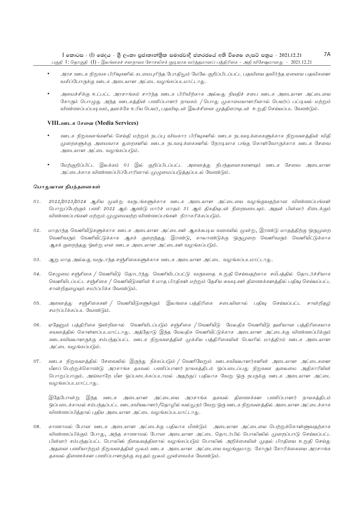- அரச ஊடக நிறுவக பிரிவுகளில் கடமைபுரிந்த போதிலும் மேலே குறிப்பிடப்பட்ட பதவியை தவிர்ந்த ஏனைய பதவிகளை வகிப்போருக்கு ஊடக அடையாள அட்டை வழங்கப்படமாட்டாது.
- அமைச்சிக்கு உட்பட்ட அரசாங்கம் சார்ந்த ஊடக பிரிவிற்காக அல்லது நியதிச் சபை ஊடக அடையாள அட்டையை கோரும் பொழுது அந்த ஊடகத்தின் பணிப்பாளர் நாயகம் / பொது முகாமையாளரினால் பெயர்ப் பட்டியல் மற்றும் விண்ணப்பப்படிவம், தனக்கே உரிய பெயர், பதவியுடன் இலச்சினை முத்திரையுடன் உறுதி செய்யப்பட வேண்டும்.

## VIII.ஊடக சேவை (Media Services)

- ஊடக நிறுவனங்களில் செய்தி மற்றும் நடப்பு விவகார பிரிவுகளில் ஊடக நடவடிக்கைகளுக்காக நிறுவனத்தின் விதி முறைகளுக்கு அமைவாக துறைகளில் ஊடக நடவடிக்கைகளில் நேரடியாக பங்கு கொள்வோருக்காக ஊடக சேவை அடையாள அட்டை வழங்கப்படும்.
- மேற்குறிப்பிட்ட இலக்கம் 01 இல் குறிப்பிடப்பட்ட அனைத்து நிபந்தனைகளையும் ஊடக சேவை அடையாள அட்டைக்காக விண்ணப்பிப்போரினால் முழுமைப்படுத்தப்படல் வேண்டும்.

#### பொதுவான நிபந்தனைகள்

- 01. 2022/2023/2024 ஆகிய மூன்று வருடங்களுக்காக ஊடக அடையாள அட்டையை வழங்குவதற்கான விண்ணப்பங்கள் பொறுப்பேற்கும் பணி 2022 ஆம் ஆண்டு மார்ச் மாதம் 31 ஆம் திகதியுடன் நிறைவடையும். அதன் பின்னர் கிடைக்கும் விண்ணப்பங்கள் மற்றும் முழுமையற்ற விண்ணப்பங்கள் நிராகரிக்கப்படும்.
- 02. மாதாந்த வெளியீடுகளுக்காக ஊடக அடையாள அட்டைகள் ஆகக்கூடிய வகையில் மூன்று, இரண்டு மாதத்திற்கு ஒருமுறை வெளிவரும் வெளியீட்டுக்காக ஆகக் குறைந்தது இரண்டு, காலாண்டுக்கு ஒருமுறை வெளிவரும் வெளியீட்டுக்காக ஆகக் குறைந்தது ஒன்று என ஊடக அடையாள அட்டைகள் வழங்கப்படும்.
- $0.3.$ ஆறு மாத அல்லது வருடாந்த சஞ்சிகைகளுக்காக ஊடக அடையாள அட்டை வழங்கப்படமாட்டாது.
- 04. செழுமை சஞ்சிகை / வெளியீடு தொடர்ந்து வெளியிடப்பட்டு வருவதை உறுதி செய்வதற்காக சமீபத்தில் தொடர்ச்சியாக வெளியிடப்பட்ட சஞ்சிகை / வெளியீடுகளின் 6 மாத பிரதிகள் மற்றும் தேசிய சுவடிகள் திணைக்களத்தில் பதிவு செய்யப்பட்ட சான்றிதழையும் சமர்ப்பிக்க வேண்டும்.
- 05. அனைத்து சஞ்சிகைகள் / வெளியீடுகளுக்கும் இலங்கை பத்திரிகை சபையினால் பதிவு செய்யப்பட்ட சான்றிதழ் சமர்ப்பிக்கப்பட வேண்டும்.
- 06. ஏதேனும் பத்திரிகை ஒன்றினால் வெளியிடப்படும் சஞ்சிகை / வெளியீடு மேலதிக வெளியீடு தனியான பத்திரிகையாக கவனத்தில் கொள்ளப்படமாட்டாது. அத்தோடு இந்த மேலதிக வெளியீட்டுக்காக அடையாள அட்டைக்கு விண்ணப்பிக்கும் ஊடகவியலாளருக்கு சம்பந்தப்பட்ட ஊடக நிறுவனத்தின் முக்கிய பத்திரிகையின் பெயரில் மாத்திரம் ஊடக அடையாள அட்டை வழங்கப்படும்.
- 07. ஊடக நிறுவனத்தில் சேவையில் இருந்து நீக்கப்படும் / வெளியேறும் ஊடகவியலாளர்களின் அடையாள அட்டைகளை மீளப் பெற்றுக்கொண்டு அரசாங்க தகவல் பணிப்பாளர் நாயகத்திடம் ஒப்படைப்பது நிறுவன தலைமை அதிகாரியின் பொறுப்பாகும். அவ்வாறே மீள ஒப்படைக்கப்படாமல் அதற்குப் பதிலாக வேறு ஒரு நபருக்கு ஊடக அடையாள அட்டை வழங்கப்படமாட்டாது.

இதேபோன்று இந்த ஊடக அடையாள அட்டையை அரசாங்க தகவல் திணைக்கள பணிப்பாளர் நாயகத்திடம் ஒப்படைக்காமல் சம்பந்தப்பட்ட ஊடகவியலாளர்/தொழில் வல்லுநர் வேறு ஒரு ஊடக நிறுவனத்தில் அடையாள அட்டைக்காக விண்ணப்பித்தால் புதிய அடையாள அட்டை வழங்கப்படமாட்டாது.

08. காணாமல் போன ஊடக அடையாள அட்டைக்கு பதிலாக மீண்டும் அடையாள அட்டையை பெற்றுக்கொள்ளுவதற்காக விண்ணப்பிக்கும் போது, அந்த காணாமல் போன அடையாள அட்டை தொடர்பில் பொலிஸில் முறைப்பாடு செய்யப்பட்ட பின்னர் சம்பந்தப்பட்ட பொலிஸ் நிலையத்தினால் வழங்கப்படும் பொலிஸ் அறிக்கையின் முதல் பிரதியை உறுதி செய்து அதனை பணியாற்றும் நிறுவனத்தின் மூலம் ஊடக அடையாள அட்டையை வழங்குமாறு கோரும் கோரிக்கையை அரசாங்க தகவல் திணைக்கள பணிப்பாளருக்கு கடிதம் மூலம் முன்வைக்க வேண்டும்.